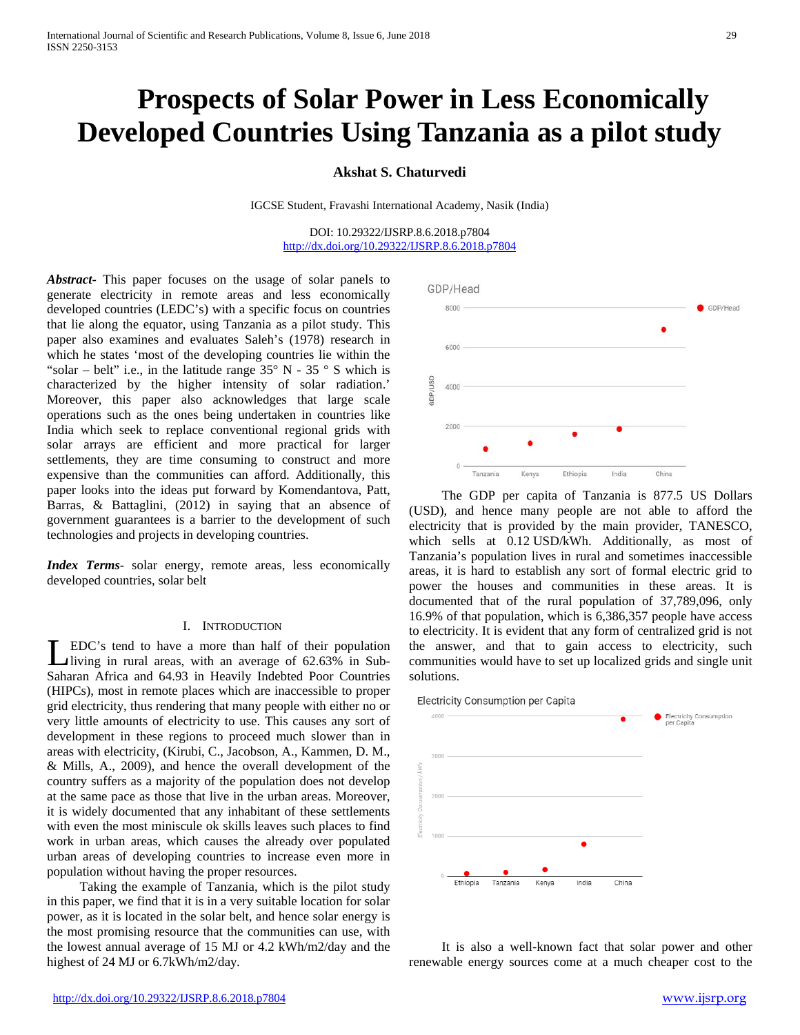# **Prospects of Solar Power in Less Economically Developed Countries Using Tanzania as a pilot study**

## **Akshat S. Chaturvedi**

IGCSE Student, Fravashi International Academy, Nasik (India)

DOI: 10.29322/IJSRP.8.6.2018.p7804 <http://dx.doi.org/10.29322/IJSRP.8.6.2018.p7804>

*Abstract***-** This paper focuses on the usage of solar panels to generate electricity in remote areas and less economically developed countries (LEDC's) with a specific focus on countries that lie along the equator, using Tanzania as a pilot study. This paper also examines and evaluates Saleh's (1978) research in which he states 'most of the developing countries lie within the "solar – belt" i.e., in the latitude range  $35^{\circ}$  N -  $35^{\circ}$  S which is characterized by the higher intensity of solar radiation.' Moreover, this paper also acknowledges that large scale operations such as the ones being undertaken in countries like India which seek to replace conventional regional grids with solar arrays are efficient and more practical for larger settlements, they are time consuming to construct and more expensive than the communities can afford. Additionally, this paper looks into the ideas put forward by Komendantova, Patt, Barras, & Battaglini, (2012) in saying that an absence of government guarantees is a barrier to the development of such technologies and projects in developing countries.

*Index Terms*- solar energy, remote areas, less economically developed countries, solar belt

## I. INTRODUCTION

EDC's tend to have a more than half of their population living in rural areas, with an average of 62.63% in Sub-LEDC's tend to have a more than half of their population<br>living in rural areas, with an average of 62.63% in Sub-<br>Saharan Africa and 64.93 in Heavily Indebted Poor Countries (HIPCs), most in remote places which are inaccessible to proper grid electricity, thus rendering that many people with either no or very little amounts of electricity to use. This causes any sort of development in these regions to proceed much slower than in areas with electricity, (Kirubi, C., Jacobson, A., Kammen, D. M., & Mills, A., 2009), and hence the overall development of the country suffers as a majority of the population does not develop at the same pace as those that live in the urban areas. Moreover, it is widely documented that any inhabitant of these settlements with even the most miniscule ok skills leaves such places to find work in urban areas, which causes the already over populated urban areas of developing countries to increase even more in population without having the proper resources.

 Taking the example of Tanzania, which is the pilot study in this paper, we find that it is in a very suitable location for solar power, as it is located in the solar belt, and hence solar energy is the most promising resource that the communities can use, with the lowest annual average of 15 MJ or 4.2 kWh/m2/day and the highest of 24 MJ or 6.7kWh/m2/day*.*



 The GDP per capita of Tanzania is 877.5 US Dollars (USD), and hence many people are not able to afford the electricity that is provided by the main provider, TANESCO, which sells at 0.12 USD/kWh. Additionally, as most of Tanzania's population lives in rural and sometimes inaccessible areas, it is hard to establish any sort of formal electric grid to power the houses and communities in these areas. It is documented that of the rural population of 37,789,096, only 16.9% of that population, which is 6,386,357 people have access to electricity. It is evident that any form of centralized grid is not the answer, and that to gain access to electricity, such communities would have to set up localized grids and single unit solutions.





 It is also a well-known fact that solar power and other renewable energy sources come at a much cheaper cost to the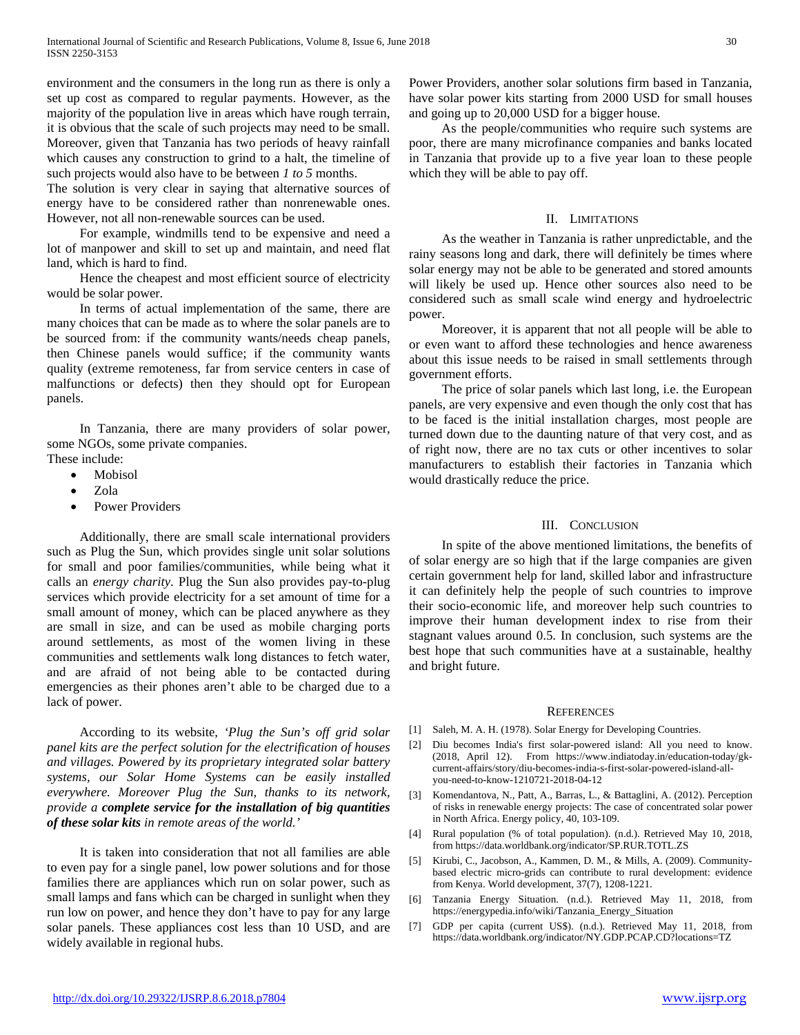environment and the consumers in the long run as there is only a set up cost as compared to regular payments. However, as the majority of the population live in areas which have rough terrain, it is obvious that the scale of such projects may need to be small. Moreover, given that Tanzania has two periods of heavy rainfall which causes any construction to grind to a halt, the timeline of such projects would also have to be between *1 to 5* months.

The solution is very clear in saying that alternative sources of energy have to be considered rather than nonrenewable ones. However, not all non-renewable sources can be used.

 For example, windmills tend to be expensive and need a lot of manpower and skill to set up and maintain, and need flat land, which is hard to find.

 Hence the cheapest and most efficient source of electricity would be solar power.

 In terms of actual implementation of the same, there are many choices that can be made as to where the solar panels are to be sourced from: if the community wants/needs cheap panels, then Chinese panels would suffice; if the community wants quality (extreme remoteness, far from service centers in case of malfunctions or defects) then they should opt for European panels.

 In Tanzania, there are many providers of solar power, some NGOs, some private companies.

- These include:
	- Mobisol
	- Zola
	- Power Providers

 Additionally, there are small scale international providers such as Plug the Sun, which provides single unit solar solutions for small and poor families/communities, while being what it calls an *energy charity*. Plug the Sun also provides pay-to-plug services which provide electricity for a set amount of time for a small amount of money, which can be placed anywhere as they are small in size, and can be used as mobile charging ports around settlements, as most of the women living in these communities and settlements walk long distances to fetch water, and are afraid of not being able to be contacted during emergencies as their phones aren't able to be charged due to a lack of power.

 According to its website, *'Plug the Sun's off grid solar panel kits are the perfect solution for the electrification of houses and villages. Powered by its proprietary integrated solar battery systems, our Solar Home Systems can be easily installed everywhere. Moreover Plug the Sun, thanks to its network, provide a complete service for the installation of big quantities of these solar kits in remote areas of the world.'*

 It is taken into consideration that not all families are able to even pay for a single panel, low power solutions and for those families there are appliances which run on solar power, such as small lamps and fans which can be charged in sunlight when they run low on power, and hence they don't have to pay for any large solar panels. These appliances cost less than 10 USD, and are widely available in regional hubs.

Power Providers, another solar solutions firm based in Tanzania, have solar power kits starting from 2000 USD for small houses and going up to 20,000 USD for a bigger house.

 As the people/communities who require such systems are poor, there are many microfinance companies and banks located in Tanzania that provide up to a five year loan to these people which they will be able to pay off.

## II. LIMITATIONS

 As the weather in Tanzania is rather unpredictable, and the rainy seasons long and dark, there will definitely be times where solar energy may not be able to be generated and stored amounts will likely be used up. Hence other sources also need to be considered such as small scale wind energy and hydroelectric power.

 Moreover, it is apparent that not all people will be able to or even want to afford these technologies and hence awareness about this issue needs to be raised in small settlements through government efforts.

 The price of solar panels which last long, i.e. the European panels, are very expensive and even though the only cost that has to be faced is the initial installation charges, most people are turned down due to the daunting nature of that very cost, and as of right now, there are no tax cuts or other incentives to solar manufacturers to establish their factories in Tanzania which would drastically reduce the price.

### III. CONCLUSION

 In spite of the above mentioned limitations, the benefits of of solar energy are so high that if the large companies are given certain government help for land, skilled labor and infrastructure it can definitely help the people of such countries to improve their socio-economic life, and moreover help such countries to improve their human development index to rise from their stagnant values around 0.5. In conclusion, such systems are the best hope that such communities have at a sustainable, healthy and bright future.

#### **REFERENCES**

- [1] Saleh, M. A. H. (1978). Solar Energy for Developing Countries.
- [2] Diu becomes India's first solar-powered island: All you need to know. (2018, April 12). From https://www.indiatoday.in/education-today/gkcurrent-affairs/story/diu-becomes-india-s-first-solar-powered-island-allyou-need-to-know-1210721-2018-04-12
- [3] Komendantova, N., Patt, A., Barras, L., & Battaglini, A. (2012). Perception of risks in renewable energy projects: The case of concentrated solar power in North Africa. Energy policy, 40, 103-109.
- [4] Rural population (% of total population). (n.d.). Retrieved May 10, 2018, from https://data.worldbank.org/indicator/SP.RUR.TOTL.ZS
- [5] Kirubi, C., Jacobson, A., Kammen, D. M., & Mills, A. (2009). Communitybased electric micro-grids can contribute to rural development: evidence from Kenya. World development, 37(7), 1208-1221.
- [6] Tanzania Energy Situation. (n.d.). Retrieved May 11, 2018, from https://energypedia.info/wiki/Tanzania\_Energy\_Situation
- [7] GDP per capita (current US\$). (n.d.). Retrieved May 11, 2018, from https://data.worldbank.org/indicator/NY.GDP.PCAP.CD?locations=TZ